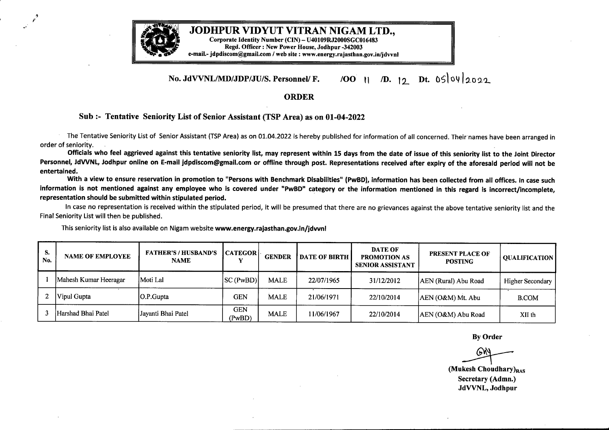

## **No. JdVVNL/MD/JDP/JU/S. Personnel/ F.** /OO */D.* 1\_ Dt. 05lo9la092

## **ORDER**

## **Sub :- Tentative Seniority List of Senior Assistant (TSP Area) as on 01-04-2022**

The Tentative Seniority List of Senior Assistant (TSP Area) as on 01.04.2022 is hereby published for information of all concerned. Their names have been arranged in order of seniority.

Officials who feel aggrieved against this tentative seniority list, may represent within 15 days from the date of issue of this seniority list to the Joint Director Personnel, JdVVNL, Jodhpur online on E-mail jdpdiscom@gmail.com or offline through post. Representations received after expiry of the aforesaid period will not be **entertained.**

With a view to ensure reservation in promotion to "Persons with Benchmark Disabilities" (PwBD), information has been collected from all offices. In case such information is not mentioned against any employee who is covered under "PwBD" category or the information mentioned in this regard is incorrect/incomplete. **representation should be submitted within stipulated period.**

In case no representation is received within the stipulated period, it will be presumed that there are no grievances against the above tentative seniority list and the Final Seniority List will then be published.

**s. FATHER'S** *I* **HUSBAND'S CATEGOR DATE OF PRESENT PLACE OF No. NAME OF EMPLOYEE NAME y GENDER DATE OF BIRTH PROMOTION AS POSTING QUALIFICATION SENIOR ASSISTANT** 1 Mahesh Kumar Heeragar Moti Lal SC (PwBD) MALE 22/07/1965 31/12/2012 AEN (Rural) Abu Road Higher Secondary <sup>2</sup> Vipul Gupta O.P.Gupta GEN MALE 21/06/1971 22/10/2014 AEN (O&M) Mt. Abu B.COM <sup>3</sup> Harshad Bhai Patel Jayanti Bhai Patel **GEN** MALE |  $11/06/1967$  |  $22/10/2014$  | AEN (O&M) Abu Road | XII th (PwBD)

This seniority list is also available on Nigam website **www.energy.rajasthan.gov.in/jdvvnl**

**By** Order

**(Mukesh Choudhary)**<sub>RAS</sub> **Secretary (Admn.) JdVVNL, Jodhpur**